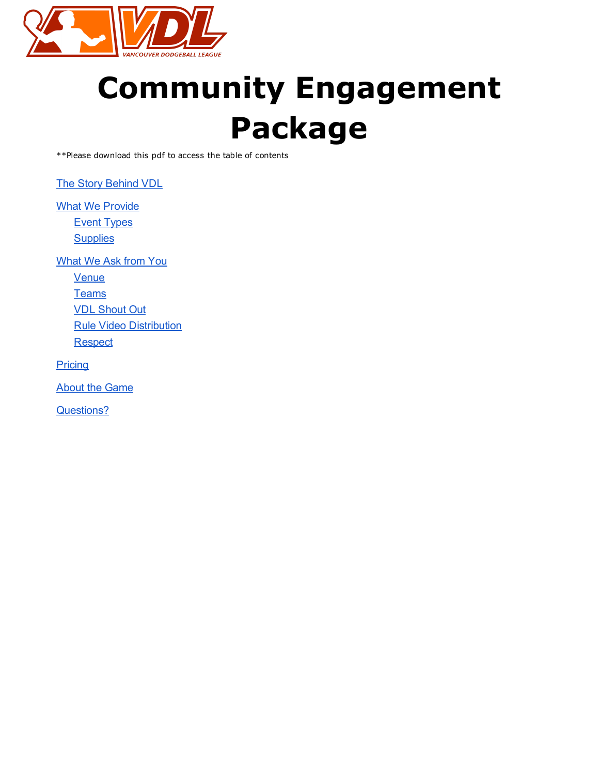

# Community Engagement Package

\*\*Please download this pdf to access the table of contents

The Story [Behind](#page-1-1) VDL

**What We [Provide](#page-1-0)** Event [Types](#page-1-2)

**[Supplies](#page-2-3)** 

[What](#page-2-1) We Ask from You

**[Venue](#page-2-0)** 

**[Teams](#page-2-5)** 

VDL [Shout](#page-2-2) Out

Rule Video [Distribution](#page-2-4)

**[Respect](#page-3-1)** 

**[Pricing](#page-3-0)** 

About the [Game](#page-4-0)

[Questions?](#page-4-1)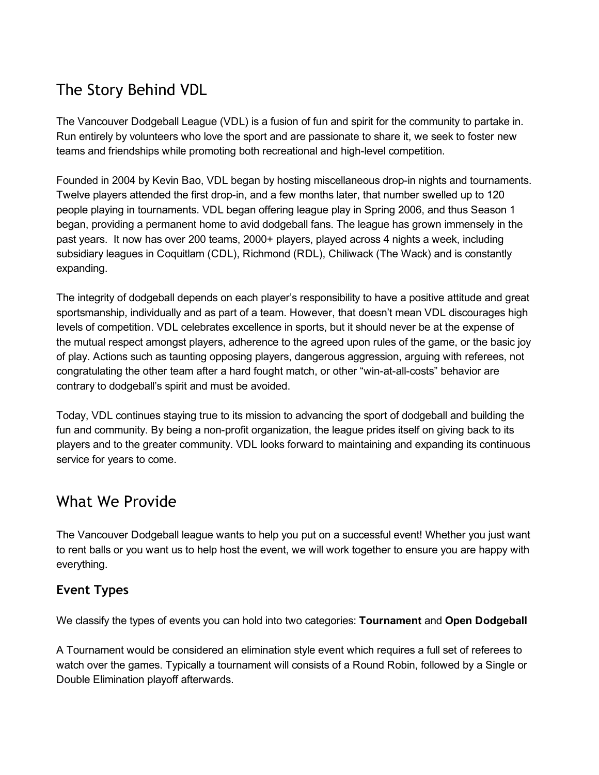# <span id="page-1-1"></span>The Story Behind VDL

The Vancouver Dodgeball League (VDL) is a fusion of fun and spirit for the community to partake in. Run entirely by volunteers who love the sport and are passionate to share it, we seek to foster new teams and friendships while promoting both recreational and high-level competition.

Founded in 2004 by Kevin Bao, VDL began by hosting miscellaneous drop-in nights and tournaments. Twelve players attended the first drop-in, and a few months later, that number swelled up to 120 people playing in tournaments. VDL began offering league play in Spring 2006, and thus Season 1 began, providing a permanent home to avid dodgeball fans. The league has grown immensely in the past years. It now has over 200 teams, 2000+ players, played across 4 nights a week, including subsidiary leagues in Coquitlam (CDL), Richmond (RDL), Chiliwack (The Wack) and is constantly expanding.

The integrity of dodgeball depends on each player's responsibility to have a positive attitude and great sportsmanship, individually and as part of a team. However, that doesn't mean VDL discourages high levels of competition. VDL celebrates excellence in sports, but it should never be at the expense of the mutual respect amongst players, adherence to the agreed upon rules of the game, or the basic joy of play. Actions such as taunting opposing players, dangerous aggression, arguing with referees, not congratulating the other team after a hard fought match, or other "win-at-all-costs" behavior are contrary to dodgeball's spirit and must be avoided.

Today, VDL continues staying true to its mission to advancing the sport of dodgeball and building the fun and community. By being a non-profit organization, the league prides itself on giving back to its players and to the greater community. VDL looks forward to maintaining and expanding its continuous service for years to come.

## <span id="page-1-0"></span>What We Provide

The Vancouver Dodgeball league wants to help you put on a successful event! Whether you just want to rent balls or you want us to help host the event, we will work together to ensure you are happy with everything.

#### <span id="page-1-2"></span>Event Types

We classify the types of events you can hold into two categories: Tournament and Open Dodgeball

A Tournament would be considered an elimination style event which requires a full set of referees to watch over the games. Typically a tournament will consists of a Round Robin, followed by a Single or Double Elimination playoff afterwards.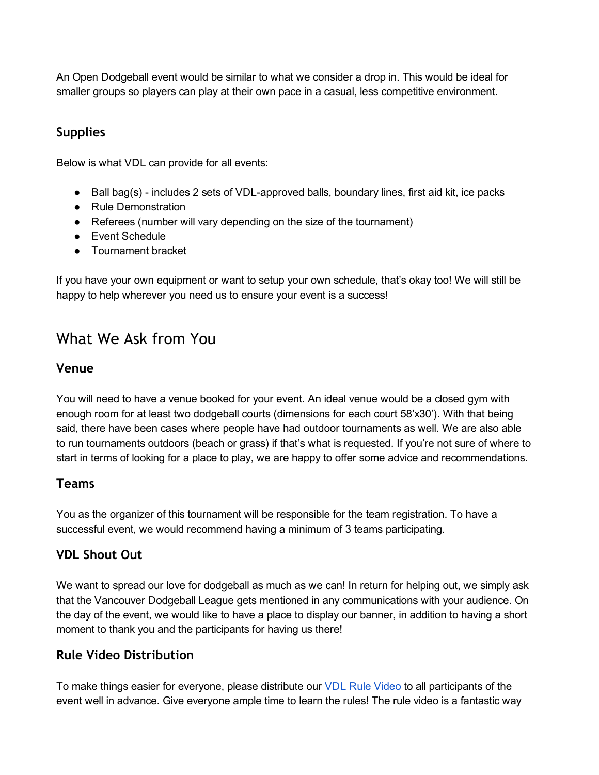An Open Dodgeball event would be similar to what we consider a drop in. This would be ideal for smaller groups so players can play at their own pace in a casual, less competitive environment.

#### <span id="page-2-3"></span>Supplies

Below is what VDL can provide for all events:

- Ball bag(s) includes 2 sets of VDL-approved balls, boundary lines, first aid kit, ice packs
- Rule Demonstration
- Referees (number will vary depending on the size of the tournament)
- Event Schedule
- Tournament bracket

If you have your own equipment or want to setup your own schedule, that's okay too! We will still be happy to help wherever you need us to ensure your event is a success!

## <span id="page-2-1"></span>What We Ask from You

#### <span id="page-2-0"></span>Venue

You will need to have a venue booked for your event. An ideal venue would be a closed gym with enough room for at least two dodgeball courts (dimensions for each court 58'x30'). With that being said, there have been cases where people have had outdoor tournaments as well. We are also able to run tournaments outdoors (beach or grass) if that's what is requested. If you're not sure of where to start in terms of looking for a place to play, we are happy to offer some advice and recommendations.

#### <span id="page-2-5"></span>Teams

You as the organizer of this tournament will be responsible for the team registration. To have a successful event, we would recommend having a minimum of 3 teams participating.

#### <span id="page-2-2"></span>VDL Shout Out

We want to spread our love for dodgeball as much as we can! In return for helping out, we simply ask that the Vancouver Dodgeball League gets mentioned in any communications with your audience. On the day of the event, we would like to have a place to display our banner, in addition to having a short moment to thank you and the participants for having us there!

#### <span id="page-2-4"></span>Rule Video Distribution

To make things easier for everyone, please distribute our VDL Rule [Video](http://www.youtube.com/watch?v=bJ1vEQKX-hE) to all participants of the event well in advance. Give everyone ample time to learn the rules! The rule video is a fantastic way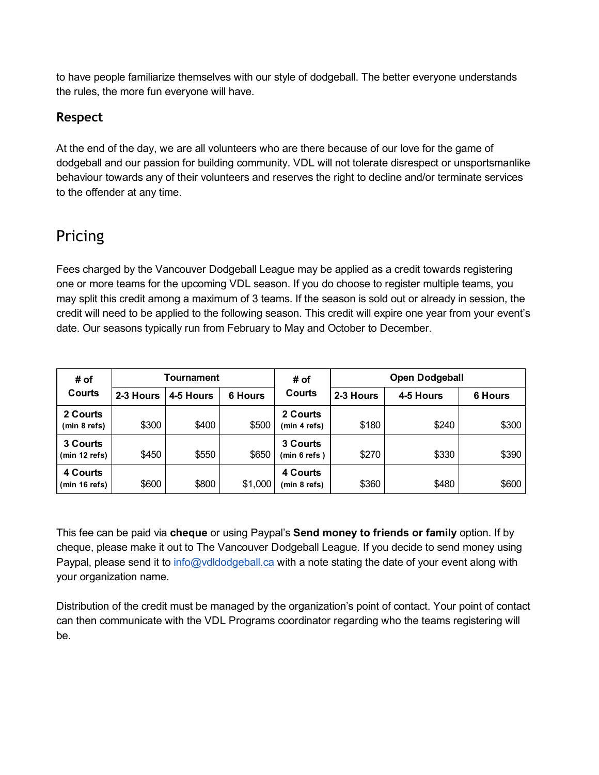to have people familiarize themselves with our style of dodgeball. The better everyone understands the rules, the more fun everyone will have.

#### <span id="page-3-1"></span>Respect

At the end of the day, we are all volunteers who are there because of our love for the game of dodgeball and our passion for building community. VDL will not tolerate disrespect or unsportsmanlike behaviour towards any of their volunteers and reserves the right to decline and/or terminate services to the offender at any time.

# <span id="page-3-0"></span>Pricing

Fees charged by the Vancouver Dodgeball League may be applied as a credit towards registering one or more teams for the upcoming VDL season. If you do choose to register multiple teams, you may split this credit among a maximum of 3 teams. If the season is sold out or already in session, the credit will need to be applied to the following season. This credit will expire one year from your event's date. Our seasons typically run from February to May and October to December.

| # of<br>Courts            | Tournament |           |                | # of                      | <b>Open Dodgeball</b> |           |                |
|---------------------------|------------|-----------|----------------|---------------------------|-----------------------|-----------|----------------|
|                           | 2-3 Hours  | 4-5 Hours | <b>6 Hours</b> | <b>Courts</b>             | 2-3 Hours             | 4-5 Hours | <b>6 Hours</b> |
| 2 Courts<br>(min 8 refs)  | \$300      | \$400     | \$500          | 2 Courts<br>(min 4 refs)  | \$180                 | \$240     | \$300          |
| 3 Courts<br>(min 12 refs) | \$450      | \$550     | \$650          | 3 Courts<br>(min 6 refs ) | \$270                 | \$330     | \$390          |
| 4 Courts<br>(min 16 refs) | \$600      | \$800     | \$1,000        | 4 Courts<br>(min 8 refs)  | \$360                 | \$480     | \$600          |

This fee can be paid via cheque or using Paypal's Send money to friends or family option. If by cheque, please make it out to The Vancouver Dodgeball League. If you decide to send money using Paypal, please send it to [info@vdldodgeball.ca](mailto:info@vdldodgeball.ca) with a note stating the date of your event along with your organization name.

Distribution of the credit must be managed by the organization's point of contact. Your point of contact can then communicate with the VDL Programs coordinator regarding who the teams registering will be.